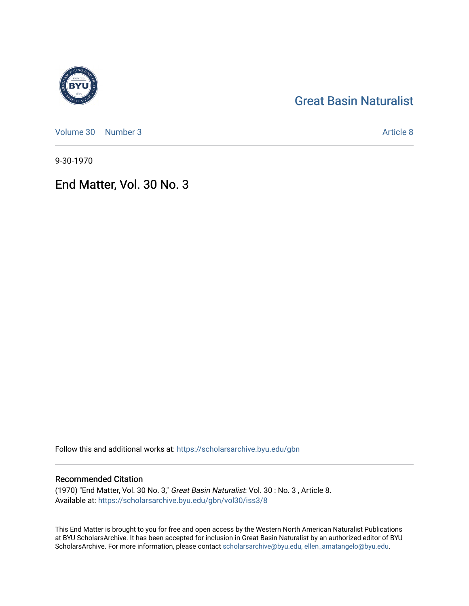# [Great Basin Naturalist](https://scholarsarchive.byu.edu/gbn)

[Volume 30](https://scholarsarchive.byu.edu/gbn/vol30) [Number 3](https://scholarsarchive.byu.edu/gbn/vol30/iss3) Article 8

9-30-1970

## End Matter, Vol. 30 No. 3

Follow this and additional works at: [https://scholarsarchive.byu.edu/gbn](https://scholarsarchive.byu.edu/gbn?utm_source=scholarsarchive.byu.edu%2Fgbn%2Fvol30%2Fiss3%2F8&utm_medium=PDF&utm_campaign=PDFCoverPages) 

### Recommended Citation

(1970) "End Matter, Vol. 30 No. 3," Great Basin Naturalist: Vol. 30 : No. 3 , Article 8. Available at: [https://scholarsarchive.byu.edu/gbn/vol30/iss3/8](https://scholarsarchive.byu.edu/gbn/vol30/iss3/8?utm_source=scholarsarchive.byu.edu%2Fgbn%2Fvol30%2Fiss3%2F8&utm_medium=PDF&utm_campaign=PDFCoverPages)

This End Matter is brought to you for free and open access by the Western North American Naturalist Publications at BYU ScholarsArchive. It has been accepted for inclusion in Great Basin Naturalist by an authorized editor of BYU ScholarsArchive. For more information, please contact [scholarsarchive@byu.edu, ellen\\_amatangelo@byu.edu.](mailto:scholarsarchive@byu.edu,%20ellen_amatangelo@byu.edu)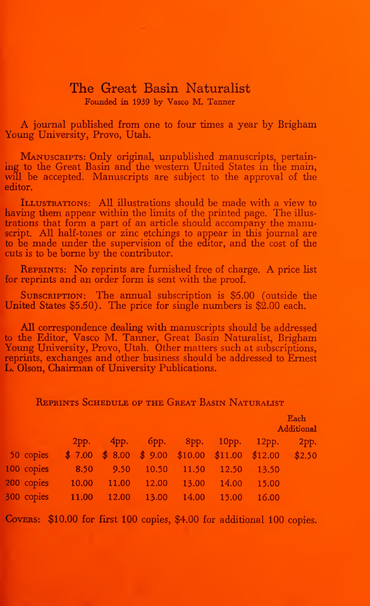## The Great Basin Naturalist Founded in 1939 by Vasco M. Tanner

A journal published from one to four times <sup>a</sup> year by Brigham Young University, Provo, Utah.

MANUSCRIPTS: Only original, unpublished manuscripts, pertaining to the Great Basin and the western United States in the main, will be accepted. Manuscripts are subject to the approval of the editor.

Illustrations: AU illustrations should be made with <sup>a</sup> view to having them appear within the limits of the printed page. The illus trations that form a part of an article should accompany the manuscript. All half-tones or zinc etchings to appear in this journal are to be made under the supervision of the editor, and the cost of the cuts is to be borne by the contributor.

REPRINTS: No reprints are furnished free of charge. A price list for reprints and an order form is sent with the proof.

SUBSCRIPTION: The annual subscription is \$5.00 (outside the United States  $$5.50$ . The price for single numbers is  $$2.00$  each.

All correspondence dealing with manuscripts should be addressed to the Editor, Vasco M. Tanner, Great Basin Naturalist, Brigham Young University, Provo, Utah. Other matters such at subscriptions, reprints, exchanges and other business should be addressed to Ernest L. Olson, Chairman of University Publications.

#### Reprints Schedule of the Great Basin Naturalist

|            |       |       |       |                        |       | <b>Each</b><br>Additional                            |      |
|------------|-------|-------|-------|------------------------|-------|------------------------------------------------------|------|
|            | 2pp.  |       |       | 4рр. 6рр. 8рр. 10рр.   |       | $12$ pp.                                             | 2pp. |
| 50 copies  |       |       |       |                        |       | $$7.00 \$8.00 \$9.00 \$10.00 \$11.00 \$12.00 \$2.50$ |      |
| 100 copies | 8.50  |       |       | 9.50 10.50 11.50 12.50 |       | 13.50                                                |      |
| 200 copies | 10.00 | 11.00 | 12.00 | 13.00                  | 14.00 | 15.00                                                |      |
| 300 copies | 11.00 | 12.00 | 13.00 | 14.00                  | 15.00 | 16.00                                                |      |

COVERS: \$10.00 for first 100 copies, \$4.00 for additional 100 copies.